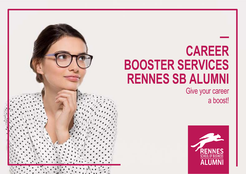# **CAREER BOOSTER SERVICES RENNES SB ALUMNI**

Give your career a boost!

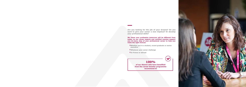**Are you looking for the job of your dreams? Do you want to give your career a new impetus? Or develop your professional skills?**

**We know your profession tomorrow will be different from today, so our career experts and certified coaches support you at every step of your professional career to help you** 

**make the right choices:**

**Whether you're a student, recent graduate or senior** 

**Whatever your career challenge**



- **executive**
- 
- **In France or abroad**

**100%**



**of our Alumni who have benefited from the career booster programme recommend it!**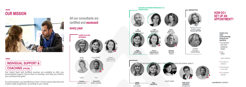## **OUR MISSION**



**All our consultants are certified and assessed every year**

### **JOB SEARCH, INTERVIEW PREPARATION, CV & LINKEDIN ADVICE**



### **HOW DO I SET UP AN APPOINTMENT?**

**Elodie GENTIL (P7)**  PREMI-HOMME





**Eric ANDRADE** Independent consultant

**Peggy GERARD (P2)** ADJUST CONSEIL

**Judith CROQUIN (P13)**  FED SUPPLY



**Florence PAINCHAUD (P3)**  CABINET EXOLYS



**Bérangère PELE (P13)**  TEREOS

**Contact us by email: carriere.alumni@r ennes-sb.com specifying:**

- Your full name and current professional situation
- Your current

**Secousse** Independent coach









**Our career team and certified coaches are available to offer you personalised support, face-to-face or remotely, and help you achieve your professional goals.**

**Contract** termination **Lucette Stamm**

**Florence** 













**ISAbelle Isabelle Isabelle Isabelle Isabelle Isabelle Isabelle Isabelle Isabelle BUI (P1)** DAO CONSEIL



career challenge



- Your place of residence
- The timeframe for your plan
- Your preferred language

**As a full member, you benefit from a free 1.5-hour career interview and a tailor-made programme, according to your needs.**

**Peggy GERARD (P2)** ADJUST CONSEIL

**Gaëlle LEPLAT KERMARREC** EFFICIENCE RH

**PE** 

**Yseult PERILHOU** COHERMENS

**GTARTING A NEW POSITION AND INTERNAL MOBILITY** 



### **COACHING** *(FR/GB)*

**INDIVIDUAL SUPPORT &**

**NEGOTIA**



Starting a new role, progress, salary **Florence NETTER**

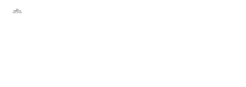**Yann SONNECK (P4)** REVEAL COACHING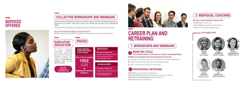## **SERVICES OFFERED**



**Rennes School of Business Alumni also offers many workshops throughout the year to boost your job search, steer your career, and initiate and develop your professional skills.**

You'll benefit from feedback from other participants and advice from the workshop leader.

### Do you have limited availability or live far from Paris?

Webinars are the ideal solution for everyone who wants to boost their career remotely!

# **CAREER PLAN AND RETRAINING**

**(Three 2.5 -hour sessions - face -to -face or remotely - weekly appointment)**

### **Redefine your professional path, from assessment to action plan**

**<sup>1</sup> :** take stock of your background, skills and motivations (includes the RIASEC test)

- **<sup>2</sup> :** identify avenues and learn the basics of the network approach
- **<sup>3</sup> :** refine your project and construct your action plan

### **PROFESSIONAL RETRAINING**

**Isabelle BUI (P1)** DAO CONSEIL



**SONNECK (P4)** Independent coach REVEAL COACHING

**• Retraining:** are you ready for the unknown? **• Discover what drives you** with SISEM and give your career meaning **• Becoming a professional coach**- what's it really like? **• Am I cut out** to be an entrepreneur?

### **Our team is at your disposal to help you with:**

- **Redefining** your career plan
- **Your retraining** or business creation process
- **Your** internal or external mobility project

**Florence PAINCHAUD (P3)**  CABINET EXOLYS



**Isabelle Yann**<br>**SECOUSSE SONNECK** 

## **2. INDIVIDUAL COACHING**

### **1. WORKSHOPS AND WEBINARS**





**MOVE ON! CYCLE** 

- 
- 
- 

- 
- 
- 
- 

### **OUR CONSULTANTS**







**Peggy GERARD (P2)** ADJUST CONSEIL

## **COLLECTIVE WORKSHOPS AND WEBINARS**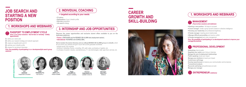## **JOB SEARCH AND STARTING A NEW POSITION**

**PASSPORT TO EMPLOYMENT CYCLE** *(Five 1.5 to 2-hour sessions - face-to-face or remotely - weekly* 

*appointment)*

- 1: clarify your career plan
- **2 :** define your research strategy and network approach
- **3** : create an impactful pitch and CV
- **4 :** optimise your LinkedIn profile
- **5 :** prepare for recruitment interviews

### **Plus: the possibility of participating in co- development/job search group sessions**

**Not to mention the alumni directory and our official RENNES SB ALUMNI group on LinkedIn,** which let you enrich your network and get in touch with 20,000 graduates worldwide:

### **-> targeted according to your needs:**

- **CV advice**
- **Optimisation** of your LinkedIn profile
- **Interview** preparation
- **Job search** strategy

# **CAREER GROWTH AND SKILL-BUILDING**



**Discover the career opportunities and exclusive alumni offers available to you on the dedicated platforms:**

- **France:** JOBTEASER and the RENNES SB ALUMNI site (employment section).
- **International:** HIGHERED and GOINGLOBAL

**Judith CROQUIN (P13)**  FED SUPPLY

- spread across 140 countries
- working in marketing, finance, consulting, HR, audit, sales, purchasing or logistics, etc.
- in all types of sectors: industry, cosmetics/luxury, IT, new technologies, retail, agro-food, services, etc.



**Bérangère PELE (P13) TERFOS** 

# *(Face-to-face sessions and webinars)*

- **• Starting a new position:** 100 days to succeed
- **• Coach manager:** create a group dynamic based on collective intelligence
- **• Develop your leadership** and professional legitimacy
- **• Female manager:** inspiring alumni testimonials
- **• Manage difficult personalities** and resolve conflict
- **• Change management** and crisis management

**Plus: the possibility of participating in co-development sessions to improve your managerial practices**

### **PROFESSIONAL DEVELOPMENT**

**Networking,** how-to guide **Negotiate your salary** upon hiring or interview **Manage the end of employment relationships Public speaking**: boost your impact **Manage your emotions** to boost your impact **Control your self-image Develop assertiveness** to improve your communication and be decisive **Transactional analysis Reconcile well-being** and performance at work **Manage your manager**

**Eric ANDRADE**



**Elodie GENTIL (P7)**  PREMI-HOMME



**Peggy GERARD (P2)** ADJUST CONSEIL



**Florence PAINCHAUD (P3)**  CABINET EXOLYS



## **2. INDIVIDUAL COACHING**

### **1. WORKSHOPS AND WEBINARS**

### **3. INTERNSHIP AND JOB OPPORTUNITIES**

### **1. WORKSHOPS AND WEBINARS**

Independent consultant



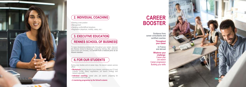# **CAREER BOOSTER**



### **Throughout your career**

**In France and abroad**

**Guidance from career consultants and certified coaches**

> **Whatever your challenge:**  Career plan Job search Career progression Building your skills



## **2. INDIVIDUAL COACHING**

- Starting a new position
- Management
- Handling conflict/difficult situations
- Negotiation (departure, mobility, salary, etc.)

## **3. EXECUTIVE EDUCATION**

## **RENNES SCHOOL OF BUSINESS**

To keep developing professionally throughout your career, discover the Rennes School of Business' continuing training offer, delivered face-to-face and remotely, and benefit from a reduced price as an **Alumni member.**

## **4. FOR OUR STUDENT S**

During your studies and at career days, the alumni careers service offers:

- **Workshops:** finding the job of your dreams, optimising your CV and LinkedIn profile, salary negotiations, job search strategy and network approach.
- **Individual coaching**: career plan, job search, preparing for recruitment interviews, etc.
- **A mentoring programme by the School's alumni.**